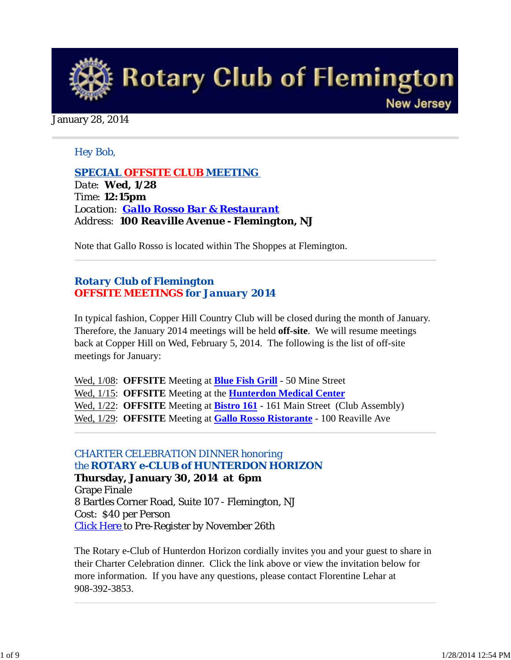

#### January 28, 2014

#### *Hey Bob,*

*SPECIAL OFFSITE CLUB MEETING Date: Wed, 1/28 Time: 12:15pm Location: Gallo Rosso Bar & Restaurant Address: 100 Reaville Avenue - Flemington, NJ*

Note that Gallo Rosso is located within The Shoppes at Flemington.

# *Rotary Club of Flemington OFFSITE MEETINGS for January 2014*

In typical fashion, Copper Hill Country Club will be closed during the month of January. Therefore, the January 2014 meetings will be held **off-site**. We will resume meetings back at Copper Hill on Wed, February 5, 2014. The following is the list of off-site meetings for January:

Wed, 1/08: **OFFSITE** Meeting at **Blue Fish Grill** - 50 Mine Street Wed, 1/15: **OFFSITE** Meeting at the **Hunterdon Medical Center** Wed, 1/22: **OFFSITE** Meeting at **Bistro 161** - 161 Main Street (Club Assembly) Wed, 1/29: **OFFSITE** Meeting at **Gallo Rosso Ristorante** - 100 Reaville Ave

## *CHARTER CELEBRATION DINNER honoring*

*the ROTARY e-CLUB of HUNTERDON HORIZON*

**Thursday, January 30, 2014 at 6pm**

Grape Finale 8 Bartles Corner Road, Suite 107 - Flemington, NJ Cost: \$40 per Person **Click Here to Pre-Register by November 26th** 

The Rotary e-Club of Hunterdon Horizon cordially invites you and your guest to share in their Charter Celebration dinner. Click the link above or view the invitation below for more information. If you have any questions, please contact Florentine Lehar at 908-392-3853.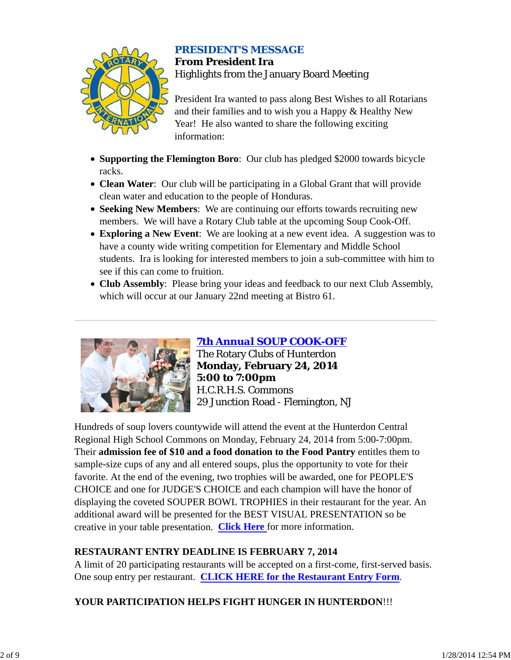

# *PRESIDENT'S MESSAGE*

## **From President Ira** Highlights from the January Board Meeting

President Ira wanted to pass along Best Wishes to all Rotarians and their families and to wish you a Happy & Healthy New Year! He also wanted to share the following exciting information:

- **Supporting the Flemington Boro**: Our club has pledged \$2000 towards bicycle racks.
- **Clean Water**: Our club will be participating in a Global Grant that will provide clean water and education to the people of Honduras.
- **Seeking New Members**: We are continuing our efforts towards recruiting new members. We will have a Rotary Club table at the upcoming Soup Cook-Off.
- **Exploring a New Event**: We are looking at a new event idea. A suggestion was to have a county wide writing competition for Elementary and Middle School students. Ira is looking for interested members to join a sub-committee with him to see if this can come to fruition.
- **Club Assembly**: Please bring your ideas and feedback to our next Club Assembly, which will occur at our January 22nd meeting at Bistro 61.



*7th Annual SOUP COOK-OFF*

The Rotary Clubs of Hunterdon **Monday, February 24, 2014 5:00 to 7:00pm** H.C.R.H.S. Commons 29 Junction Road - Flemington, NJ

Hundreds of soup lovers countywide will attend the event at the Hunterdon Central Regional High School Commons on Monday, February 24, 2014 from 5:00-7:00pm. Their **admission fee of \$10 and a food donation to the Food Pantry** entitles them to sample-size cups of any and all entered soups, plus the opportunity to vote for their favorite. At the end of the evening, two trophies will be awarded, one for PEOPLE'S CHOICE and one for JUDGE'S CHOICE and each champion will have the honor of displaying the coveted SOUPER BOWL TROPHIES in their restaurant for the year. An additional award will be presented for the BEST VISUAL PRESENTATION so be creative in your table presentation. **Click Here** for more information.

# **RESTAURANT ENTRY DEADLINE IS FEBRUARY 7, 2014**

A limit of 20 participating restaurants will be accepted on a first-come, first-served basis. One soup entry per restaurant. **CLICK HERE for the Restaurant Entry Form**.

# **YOUR PARTICIPATION HELPS FIGHT HUNGER IN HUNTERDON**!!!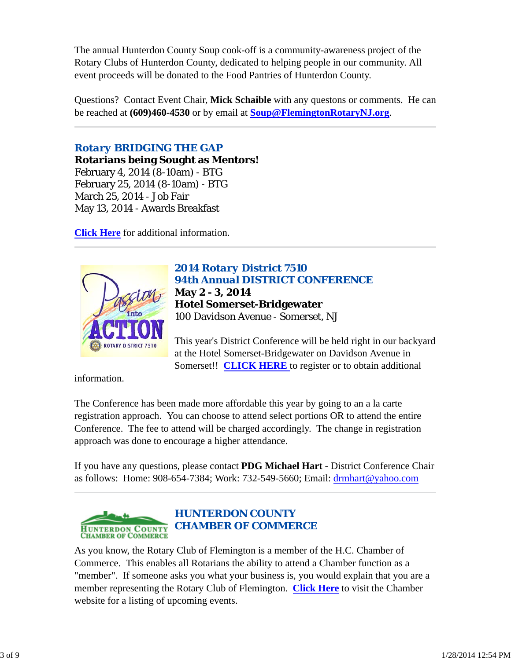The annual Hunterdon County Soup cook-off is a community-awareness project of the Rotary Clubs of Hunterdon County, dedicated to helping people in our community. All event proceeds will be donated to the Food Pantries of Hunterdon County.

Questions? Contact Event Chair, **Mick Schaible** with any questons or comments. He can be reached at **(609)460-4530** or by email at **Soup@FlemingtonRotaryNJ.org**.

# *Rotary BRIDGING THE GAP*

**Rotarians being Sought as Mentors!** February 4, 2014 (8-10am) - BTG February 25, 2014 (8-10am) - BTG March 25, 2014 - Job Fair May 13, 2014 - Awards Breakfast

**Click Here** for additional information.



*2014 Rotary District 7510 94th Annual DISTRICT CONFERENCE* **May 2 - 3, 2014 Hotel Somerset-Bridgewater** 100 Davidson Avenue - Somerset, NJ

This year's District Conference will be held right in our backyard at the Hotel Somerset-Bridgewater on Davidson Avenue in Somerset!! **CLICK HERE** to register or to obtain additional

information.

The Conference has been made more affordable this year by going to an a la carte registration approach. You can choose to attend select portions OR to attend the entire Conference. The fee to attend will be charged accordingly. The change in registration approach was done to encourage a higher attendance.

If you have any questions, please contact **PDG Michael Hart** - District Conference Chair as follows: Home: 908-654-7384; Work: 732-549-5660; Email: drmhart@yahoo.com



As you know, the Rotary Club of Flemington is a member of the H.C. Chamber of Commerce. This enables all Rotarians the ability to attend a Chamber function as a "member". If someone asks you what your business is, you would explain that you are a member representing the Rotary Club of Flemington. **Click Here** to visit the Chamber website for a listing of upcoming events.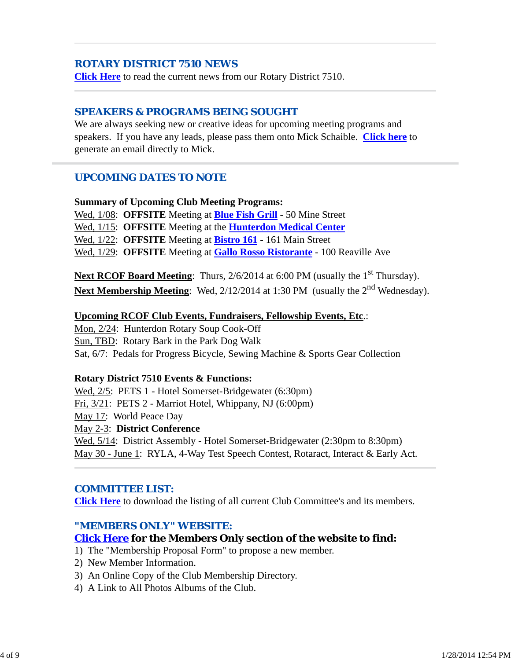# *ROTARY DISTRICT 7510 NEWS*

**Click Here** to read the current news from our Rotary District 7510.

#### *SPEAKERS & PROGRAMS BEING SOUGHT*

We are always seeking new or creative ideas for upcoming meeting programs and speakers. If you have any leads, please pass them onto Mick Schaible. **Click here** to generate an email directly to Mick.

## *UPCOMING DATES TO NOTE*

**Summary of Upcoming Club Meeting Programs:**

Wed, 1/08: **OFFSITE** Meeting at **Blue Fish Grill** - 50 Mine Street Wed, 1/15: **OFFSITE** Meeting at the **Hunterdon Medical Center** Wed, 1/22: **OFFSITE** Meeting at **Bistro 161** - 161 Main Street

Wed, 1/29: **OFFSITE** Meeting at **Gallo Rosso Ristorante** - 100 Reaville Ave

**Next RCOF Board Meeting**: Thurs, 2/6/2014 at 6:00 PM (usually the 1<sup>st</sup> Thursday). **Next Membership Meeting**: Wed, 2/12/2014 at 1:30 PM (usually the 2<sup>nd</sup> Wednesday).

#### **Upcoming RCOF Club Events, Fundraisers, Fellowship Events, Etc**.:

Mon, 2/24: Hunterdon Rotary Soup Cook-Off Sun, TBD: Rotary Bark in the Park Dog Walk Sat, 6/7: Pedals for Progress Bicycle, Sewing Machine & Sports Gear Collection

#### **Rotary District 7510 Events & Functions:**

Wed, 2/5: PETS 1 - Hotel Somerset-Bridgewater (6:30pm) Fri, 3/21: PETS 2 - Marriot Hotel, Whippany, NJ (6:00pm) May 17: World Peace Day May 2-3: **District Conference** Wed,  $5/14$ : District Assembly - Hotel Somerset-Bridgewater (2:30pm to 8:30pm) May 30 - June 1: RYLA, 4-Way Test Speech Contest, Rotaract, Interact & Early Act.

#### *COMMITTEE LIST:*

**Click Here** to download the listing of all current Club Committee's and its members.

#### *"MEMBERS ONLY" WEBSITE:*

#### **Click Here for the Members Only section of the website to find:**

- 1) The "Membership Proposal Form" to propose a new member.
- 2) New Member Information.
- 3) An Online Copy of the Club Membership Directory.
- 4) A Link to All Photos Albums of the Club.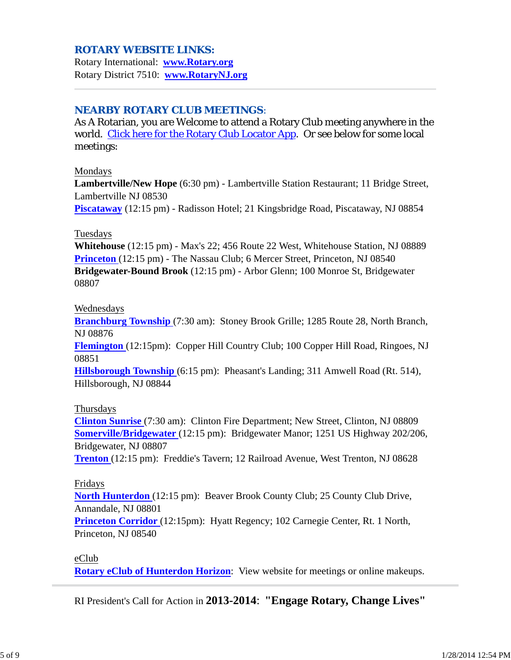## *ROTARY WEBSITE LINKS:*

Rotary International: **www.Rotary.org** Rotary District 7510: **www.RotaryNJ.org**

## *NEARBY ROTARY CLUB MEETINGS:*

As A Rotarian, you are Welcome to attend a Rotary Club meeting anywhere in the world. Click here for the Rotary Club Locator App. Or see below for some local meetings:

#### Mondays

**Lambertville/New Hope** (6:30 pm) - Lambertville Station Restaurant; 11 Bridge Street, Lambertville NJ 08530

**Piscataway** (12:15 pm) - Radisson Hotel; 21 Kingsbridge Road, Piscataway, NJ 08854

#### Tuesdays

**Whitehouse** (12:15 pm) - Max's 22; 456 Route 22 West, Whitehouse Station, NJ 08889 **Princeton** (12:15 pm) - The Nassau Club; 6 Mercer Street, Princeton, NJ 08540 **Bridgewater-Bound Brook** (12:15 pm) - Arbor Glenn; 100 Monroe St, Bridgewater 08807

#### Wednesdays

**Branchburg Township** (7:30 am): Stoney Brook Grille; 1285 Route 28, North Branch, NJ 08876

**Flemington** (12:15pm): Copper Hill Country Club; 100 Copper Hill Road, Ringoes, NJ 08851

**Hillsborough Township** (6:15 pm): Pheasant's Landing; 311 Amwell Road (Rt. 514), Hillsborough, NJ 08844

#### Thursdays

**Clinton Sunrise** (7:30 am): Clinton Fire Department; New Street, Clinton, NJ 08809 **Somerville/Bridgewater** (12:15 pm): Bridgewater Manor; 1251 US Highway 202/206, Bridgewater, NJ 08807

**Trenton** (12:15 pm): Freddie's Tavern; 12 Railroad Avenue, West Trenton, NJ 08628

#### Fridays

**North Hunterdon** (12:15 pm): Beaver Brook County Club; 25 County Club Drive, Annandale, NJ 08801

**Princeton Corridor** (12:15pm): Hyatt Regency; 102 Carnegie Center, Rt. 1 North, Princeton, NJ 08540

eClub

**Rotary eClub of Hunterdon Horizon**: View website for meetings or online makeups.

RI President's Call for Action in **2013-2014**: **"Engage Rotary, Change Lives"**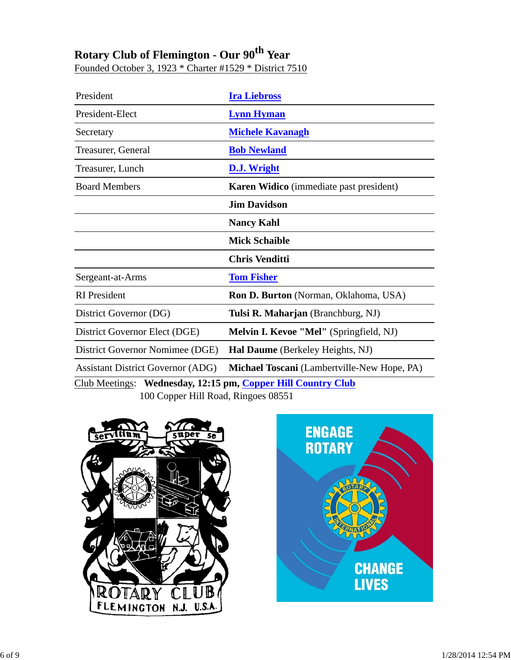# **Rotary Club of Flemington - Our 90th Year**

Founded October 3, 1923 \* Charter #1529 \* District 7510

| President                                                           | <b>Ira Liebross</b>                            |  |  |  |
|---------------------------------------------------------------------|------------------------------------------------|--|--|--|
| President-Elect                                                     | <b>Lynn Hyman</b>                              |  |  |  |
| Secretary                                                           | <b>Michele Kavanagh</b>                        |  |  |  |
| Treasurer, General                                                  | <b>Bob Newland</b>                             |  |  |  |
| Treasurer, Lunch                                                    | D.J. Wright                                    |  |  |  |
| <b>Board Members</b>                                                | <b>Karen Widico</b> (immediate past president) |  |  |  |
|                                                                     | <b>Jim Davidson</b>                            |  |  |  |
|                                                                     | <b>Nancy Kahl</b>                              |  |  |  |
|                                                                     | <b>Mick Schaible</b>                           |  |  |  |
|                                                                     | <b>Chris Venditti</b>                          |  |  |  |
| Sergeant-at-Arms                                                    | <b>Tom Fisher</b>                              |  |  |  |
| <b>RI</b> President                                                 | Ron D. Burton (Norman, Oklahoma, USA)          |  |  |  |
| District Governor (DG)                                              | Tulsi R. Maharjan (Branchburg, NJ)             |  |  |  |
| District Governor Elect (DGE)                                       | Melvin I. Kevoe "Mel" (Springfield, NJ)        |  |  |  |
| District Governor Nomimee (DGE)                                     | Hal Daume (Berkeley Heights, NJ)               |  |  |  |
| <b>Assistant District Governor (ADG)</b>                            | Michael Toscani (Lambertville-New Hope, PA)    |  |  |  |
| <b>Club Meetings:</b> Wednesday, 12:15 pm, Copper Hill Country Club |                                                |  |  |  |
| 100 Copper Hill Road, Ringoes 08551                                 |                                                |  |  |  |



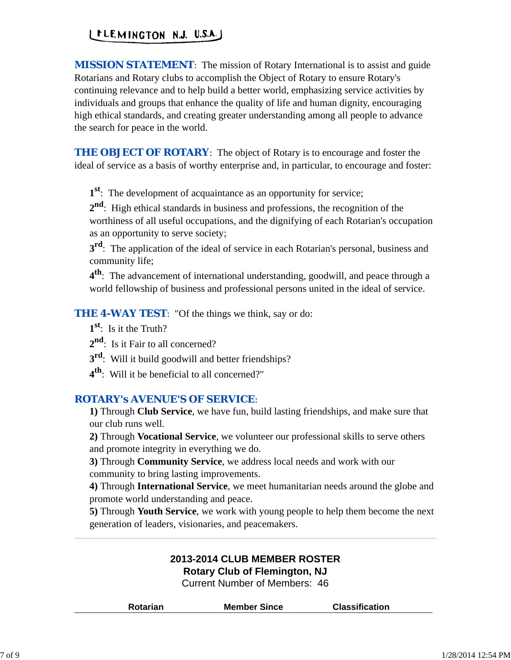# LELEMINGTON N.J. U.S.A.J

*MISSION STATEMENT*: The mission of Rotary International is to assist and guide Rotarians and Rotary clubs to accomplish the Object of Rotary to ensure Rotary's continuing relevance and to help build a better world, emphasizing service activities by individuals and groups that enhance the quality of life and human dignity, encouraging high ethical standards, and creating greater understanding among all people to advance the search for peace in the world.

*THE OBJECT OF ROTARY*: The object of Rotary is to encourage and foster the ideal of service as a basis of worthy enterprise and, in particular, to encourage and foster:

**1st**: The development of acquaintance as an opportunity for service;

**2nd**: High ethical standards in business and professions, the recognition of the worthiness of all useful occupations, and the dignifying of each Rotarian's occupation as an opportunity to serve society;

**3<sup>rd</sup>**: The application of the ideal of service in each Rotarian's personal, business and community life;

**4th**: The advancement of international understanding, goodwill, and peace through a world fellowship of business and professional persons united in the ideal of service.

**THE 4-WAY TEST:** "Of the things we think, say or do:

- **1st**: Is it the Truth?
- 2<sup>nd</sup>: Is it Fair to all concerned?
- **3<sup>rd</sup>:** Will it build goodwill and better friendships?
- **4th**: Will it be beneficial to all concerned?"

# *ROTARY's AVENUE'S OF SERVICE*:

**1)** Through **Club Service**, we have fun, build lasting friendships, and make sure that our club runs well.

**2)** Through **Vocational Service**, we volunteer our professional skills to serve others and promote integrity in everything we do.

**3)** Through **Community Service**, we address local needs and work with our community to bring lasting improvements.

**4)** Through **International Service**, we meet humanitarian needs around the globe and promote world understanding and peace.

**5)** Through **Youth Service**, we work with young people to help them become the next generation of leaders, visionaries, and peacemakers.

# **2013-2014 CLUB MEMBER ROSTER Rotary Club of Flemington, NJ**

Current Number of Members: 46

| <b>Rotarian</b> | <b>Member Since</b> | <b>Classification</b> |
|-----------------|---------------------|-----------------------|
|                 |                     |                       |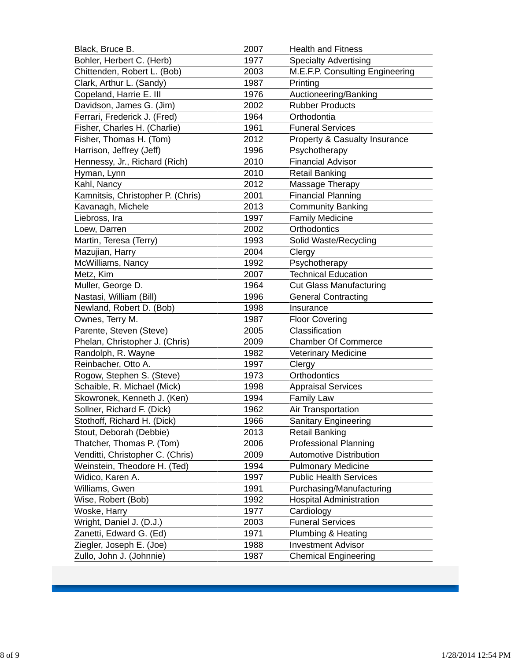| Black, Bruce B.                   | 2007 | <b>Health and Fitness</b>       |  |
|-----------------------------------|------|---------------------------------|--|
| Bohler, Herbert C. (Herb)         | 1977 | <b>Specialty Advertising</b>    |  |
| Chittenden, Robert L. (Bob)       | 2003 | M.E.F.P. Consulting Engineering |  |
| Clark, Arthur L. (Sandy)          | 1987 | Printing                        |  |
| Copeland, Harrie E. III           | 1976 | Auctioneering/Banking           |  |
| Davidson, James G. (Jim)          | 2002 | <b>Rubber Products</b>          |  |
| Ferrari, Frederick J. (Fred)      | 1964 | Orthodontia                     |  |
| Fisher, Charles H. (Charlie)      | 1961 | <b>Funeral Services</b>         |  |
| Fisher, Thomas H. (Tom)           | 2012 | Property & Casualty Insurance   |  |
| Harrison, Jeffrey (Jeff)          | 1996 | Psychotherapy                   |  |
| Hennessy, Jr., Richard (Rich)     | 2010 | <b>Financial Advisor</b>        |  |
| Hyman, Lynn                       | 2010 | <b>Retail Banking</b>           |  |
| Kahl, Nancy                       | 2012 | Massage Therapy                 |  |
| Kamnitsis, Christopher P. (Chris) | 2001 | <b>Financial Planning</b>       |  |
| Kavanagh, Michele                 | 2013 | <b>Community Banking</b>        |  |
| Liebross, Ira                     | 1997 | <b>Family Medicine</b>          |  |
| Loew, Darren                      | 2002 | Orthodontics                    |  |
| Martin, Teresa (Terry)            | 1993 | Solid Waste/Recycling           |  |
| Mazujian, Harry                   | 2004 | Clergy                          |  |
| McWilliams, Nancy                 | 1992 | Psychotherapy                   |  |
| Metz, Kim                         | 2007 | <b>Technical Education</b>      |  |
| Muller, George D.                 | 1964 | <b>Cut Glass Manufacturing</b>  |  |
| Nastasi, William (Bill)           | 1996 | <b>General Contracting</b>      |  |
| Newland, Robert D. (Bob)          | 1998 | Insurance                       |  |
| Ownes, Terry M.                   | 1987 | <b>Floor Covering</b>           |  |
| Parente, Steven (Steve)           | 2005 | Classification                  |  |
| Phelan, Christopher J. (Chris)    | 2009 | <b>Chamber Of Commerce</b>      |  |
| Randolph, R. Wayne                | 1982 | Veterinary Medicine             |  |
| Reinbacher, Otto A.               | 1997 | Clergy                          |  |
| Rogow, Stephen S. (Steve)         | 1973 | Orthodontics                    |  |
| Schaible, R. Michael (Mick)       | 1998 | <b>Appraisal Services</b>       |  |
| Skowronek, Kenneth J. (Ken)       | 1994 | <b>Family Law</b>               |  |
| Sollner, Richard F. (Dick)        | 1962 | Air Transportation              |  |
| Stothoff, Richard H. (Dick)       | 1966 | <b>Sanitary Engineering</b>     |  |
| Stout, Deborah (Debbie)           | 2013 | <b>Retail Banking</b>           |  |
| Thatcher, Thomas P. (Tom)         | 2006 | <b>Professional Planning</b>    |  |
| Venditti, Christopher C. (Chris)  | 2009 | <b>Automotive Distribution</b>  |  |
| Weinstein, Theodore H. (Ted)      | 1994 | <b>Pulmonary Medicine</b>       |  |
| Widico, Karen A.                  | 1997 | <b>Public Health Services</b>   |  |
| Williams, Gwen                    | 1991 | Purchasing/Manufacturing        |  |
| Wise, Robert (Bob)                | 1992 | <b>Hospital Administration</b>  |  |
| Woske, Harry                      | 1977 | Cardiology                      |  |
| Wright, Daniel J. (D.J.)          | 2003 | <b>Funeral Services</b>         |  |
| Zanetti, Edward G. (Ed)           | 1971 | Plumbing & Heating              |  |
| Ziegler, Joseph E. (Joe)          | 1988 | <b>Investment Advisor</b>       |  |
| Zullo, John J. (Johnnie)          | 1987 | <b>Chemical Engineering</b>     |  |
|                                   |      |                                 |  |